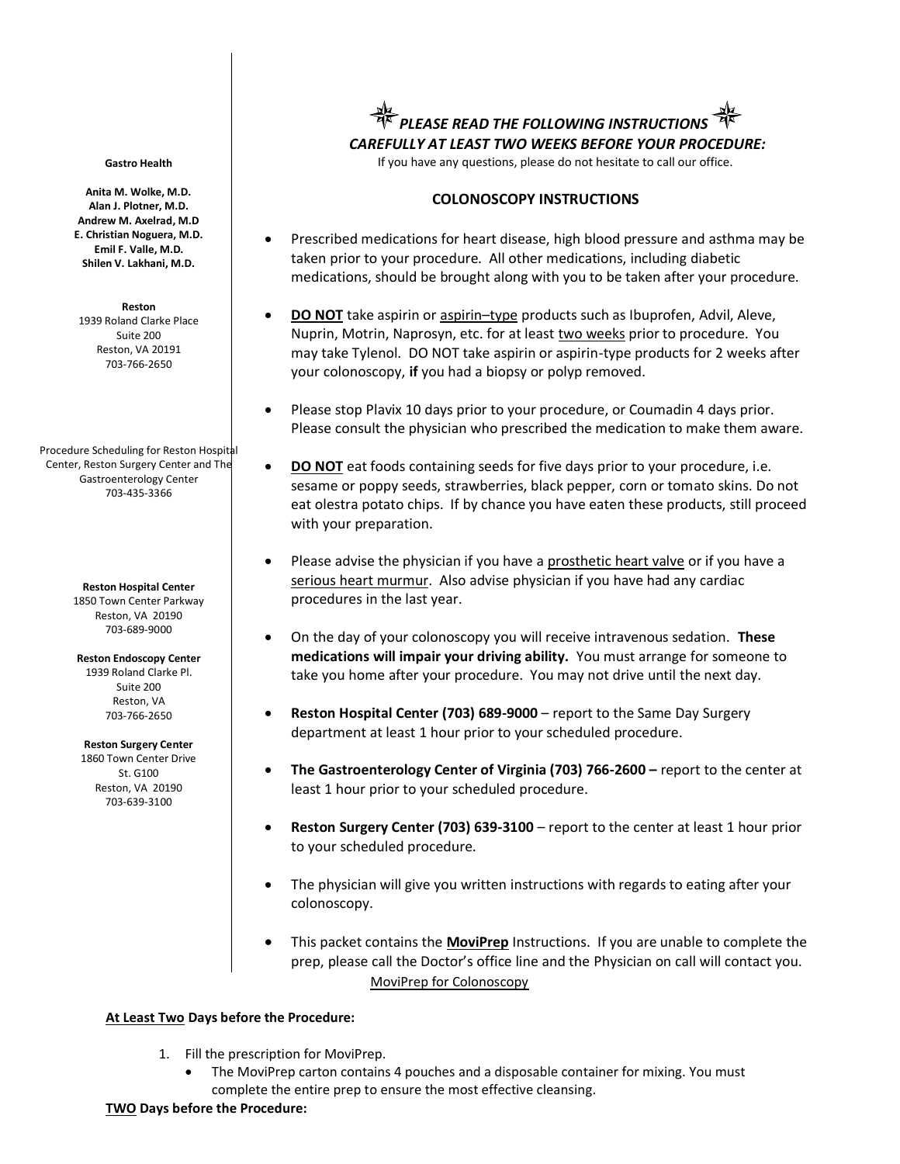#### **Gastro Health**

**Anita M. Wolke, M.D. Alan J. Plotner, M.D. Andrew M. Axelrad, M.D E. Christian Noguera, M.D. Emil F. Valle, M.D. Shilen V. Lakhani, M.D.**

**Reston** 1939 Roland Clarke Place Suite 200 Reston, VA 20191

703-766-2650

Procedure Scheduling for Reston Hospital Center, Reston Surgery Center and The Gastroenterology Center 703-435-3366

> **Reston Hospital Center** 1850 Town Center Parkway Reston, VA 20190 703-689-9000

**Reston Endoscopy Center** 1939 Roland Clarke Pl. Suite 200 Reston, VA 703-766-2650

**Reston Surgery Center** 1860 Town Center Drive St. G100 Reston, VA 20190 703-639-3100

*PLEASE READ THE FOLLOWING INSTRUCTIONS CAREFULLY AT LEAST TWO WEEKS BEFORE YOUR PROCEDURE:*

If you have any questions, please do not hesitate to call our office.

# **COLONOSCOPY INSTRUCTIONS**

- Prescribed medications for heart disease, high blood pressure and asthma may be taken prior to your procedure. All other medications, including diabetic medications, should be brought along with you to be taken after your procedure.
- **DO NOT** take aspirin or aspirin–type products such as Ibuprofen, Advil, Aleve, Nuprin, Motrin, Naprosyn, etc. for at least two weeks prior to procedure. You may take Tylenol. DO NOT take aspirin or aspirin-type products for 2 weeks after your colonoscopy, **if** you had a biopsy or polyp removed.
- Please stop Plavix 10 days prior to your procedure, or Coumadin 4 days prior. Please consult the physician who prescribed the medication to make them aware.
- **DO NOT** eat foods containing seeds for five days prior to your procedure, i.e. sesame or poppy seeds, strawberries, black pepper, corn or tomato skins. Do not eat olestra potato chips. If by chance you have eaten these products, still proceed with your preparation.
- Please advise the physician if you have a prosthetic heart valve or if you have a serious heart murmur. Also advise physician if you have had any cardiac procedures in the last year.
- On the day of your colonoscopy you will receive intravenous sedation. **These medications will impair your driving ability.** You must arrange for someone to take you home after your procedure. You may not drive until the next day.
- **Reston Hospital Center (703) 689-9000**  report to the Same Day Surgery department at least 1 hour prior to your scheduled procedure.
- **The Gastroenterology Center of Virginia (703) 766-2600 –** report to the center at least 1 hour prior to your scheduled procedure.
- **Reston Surgery Center (703) 639-3100**  report to the center at least 1 hour prior to your scheduled procedure.
- The physician will give you written instructions with regards to eating after your colonoscopy.
- This packet contains the **MoviPrep** Instructions. If you are unable to complete the prep, please call the Doctor's office line and the Physician on call will contact you. MoviPrep for Colonoscopy

### **At Least Two Days before the Procedure:**

- 1. Fill the prescription for MoviPrep.
	- The MoviPrep carton contains 4 pouches and a disposable container for mixing. You must complete the entire prep to ensure the most effective cleansing.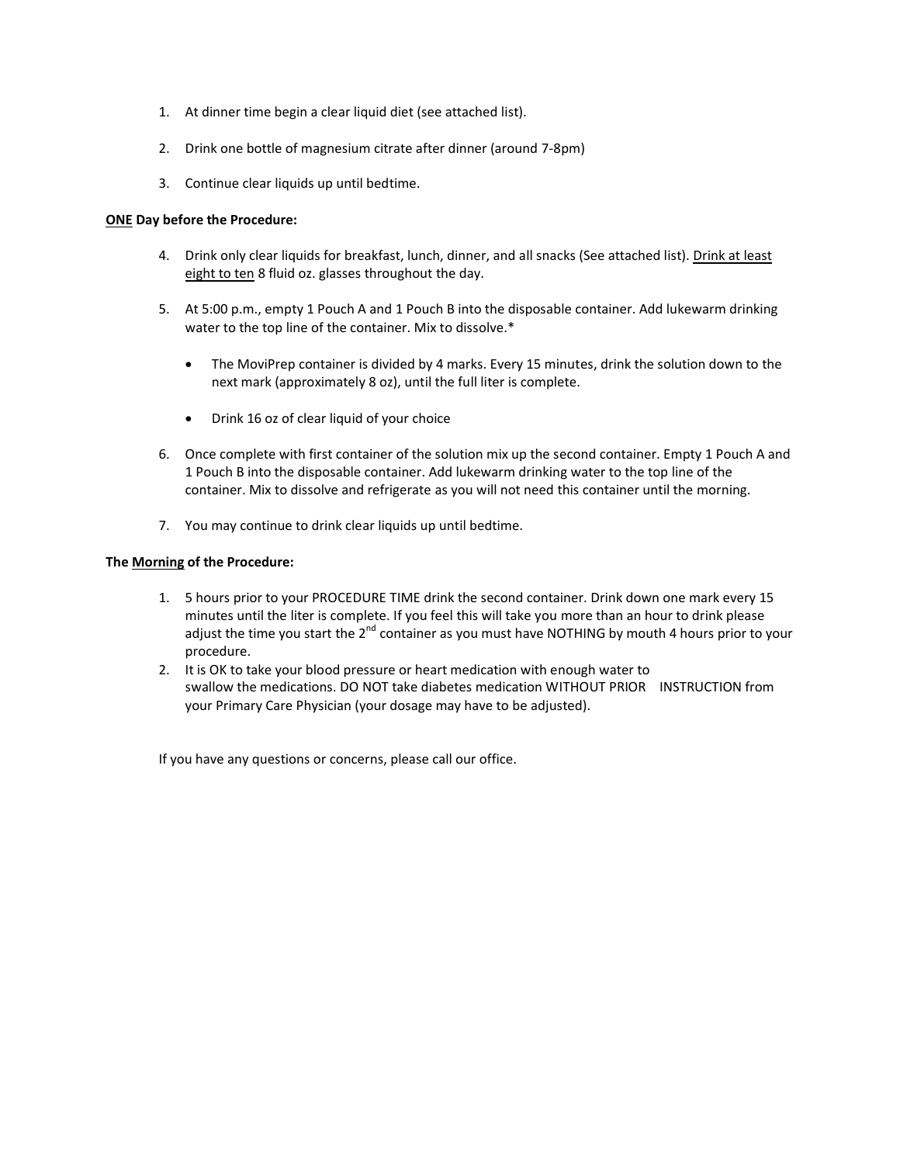- 1. At dinner time begin a clear liquid diet (see attached list).
- 2. Drink one bottle of magnesium citrate after dinner (around 7-8pm)
- 3. Continue clear liquids up until bedtime.

### **ONE Day before the Procedure:**

- 4. Drink only clear liquids for breakfast, lunch, dinner, and all snacks (See attached list). Drink at least eight to ten 8 fluid oz. glasses throughout the day.
- 5. At 5:00 p.m., empty 1 Pouch A and 1 Pouch B into the disposable container. Add lukewarm drinking water to the top line of the container. Mix to dissolve.\*
	- The MoviPrep container is divided by 4 marks. Every 15 minutes, drink the solution down to the next mark (approximately 8 oz), until the full liter is complete.
	- Drink 16 oz of clear liquid of your choice
- 6. Once complete with first container of the solution mix up the second container. Empty 1 Pouch A and 1 Pouch B into the disposable container. Add lukewarm drinking water to the top line of the container. Mix to dissolve and refrigerate as you will not need this container until the morning.
- 7. You may continue to drink clear liquids up until bedtime.

# **The Morning of the Procedure:**

- 1. 5 hours prior to your PROCEDURE TIME drink the second container. Drink down one mark every 15 minutes until the liter is complete. If you feel this will take you more than an hour to drink please adjust the time you start the  $2<sup>nd</sup>$  container as you must have NOTHING by mouth 4 hours prior to your procedure.
- 2. It is OK to take your blood pressure or heart medication with enough water to swallow the medications. DO NOT take diabetes medication WITHOUT PRIOR INSTRUCTION from your Primary Care Physician (your dosage may have to be adjusted).

If you have any questions or concerns, please call our office.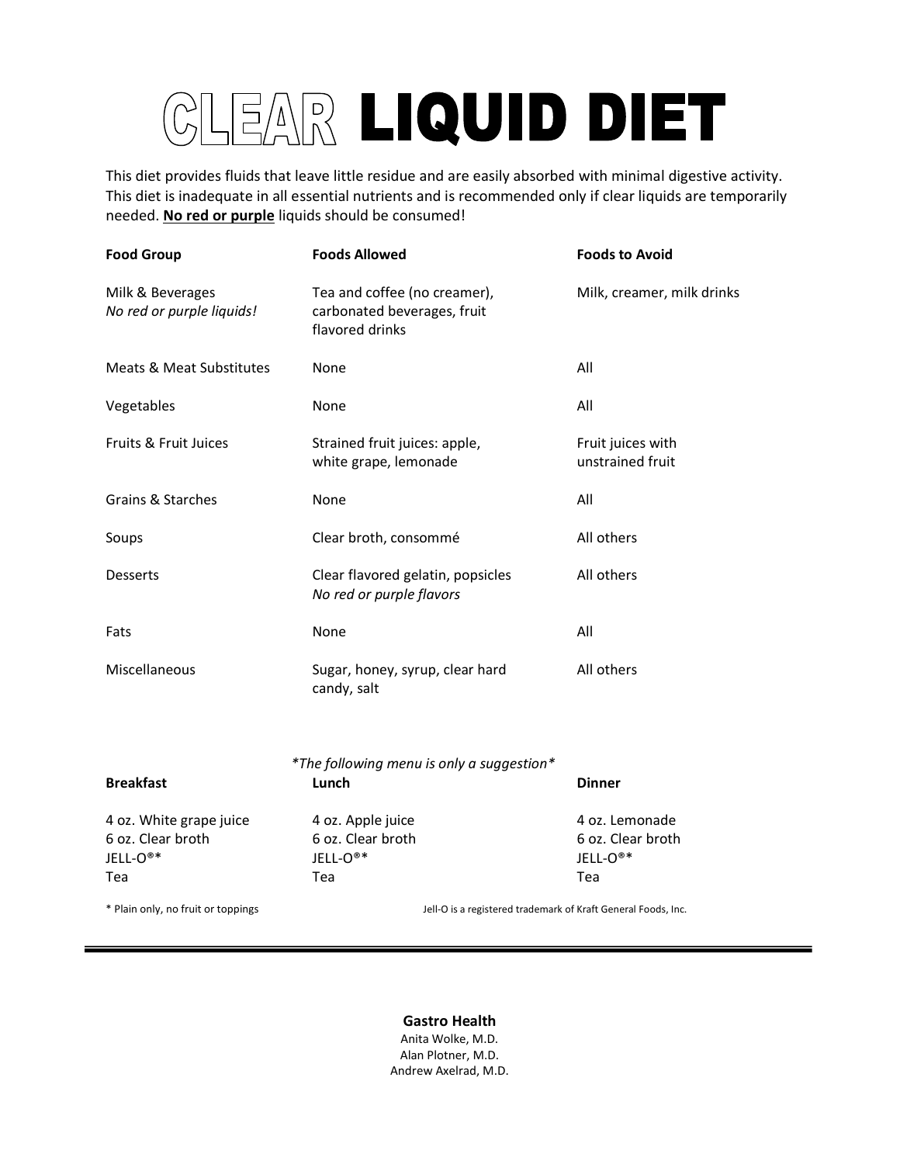# EAR LIQUID DIET

This diet provides fluids that leave little residue and are easily absorbed with minimal digestive activity. This diet is inadequate in all essential nutrients and is recommended only if clear liquids are temporarily needed. **No red or purple** liquids should be consumed!

| <b>Food Group</b>                             | <b>Foods Allowed</b>                                                           | <b>Foods to Avoid</b>                 |
|-----------------------------------------------|--------------------------------------------------------------------------------|---------------------------------------|
| Milk & Beverages<br>No red or purple liquids! | Tea and coffee (no creamer),<br>carbonated beverages, fruit<br>flavored drinks | Milk, creamer, milk drinks            |
| <b>Meats &amp; Meat Substitutes</b>           | None                                                                           | All                                   |
| Vegetables                                    | None                                                                           | All                                   |
| Fruits & Fruit Juices                         | Strained fruit juices: apple,<br>white grape, lemonade                         | Fruit juices with<br>unstrained fruit |
| <b>Grains &amp; Starches</b>                  | None                                                                           | All                                   |
| Soups                                         | Clear broth, consommé                                                          | All others                            |
| Desserts                                      | Clear flavored gelatin, popsicles<br>No red or purple flavors                  | All others                            |
| Fats                                          | None                                                                           | All                                   |
| Miscellaneous                                 | Sugar, honey, syrup, clear hard<br>candy, salt                                 | All others                            |
| <b>Breakfast</b>                              | *The following menu is only a suggestion*<br>Lunch                             | <b>Dinner</b>                         |
| 4 oz. White grape juice<br>6 oz. Clear broth  | 4 oz. Apple juice<br>6 oz. Clear broth                                         | 4 oz. Lemonade<br>6 oz. Clear broth   |

JELL-O®\* JELL-O®\* JELL-O®\* Tea Tea Tea

\* Plain only, no fruit or toppings Jell-O is a registered trademark of Kraft General Foods, Inc.

**Gastro Health** Anita Wolke, M.D. Alan Plotner, M.D. Andrew Axelrad, M.D.